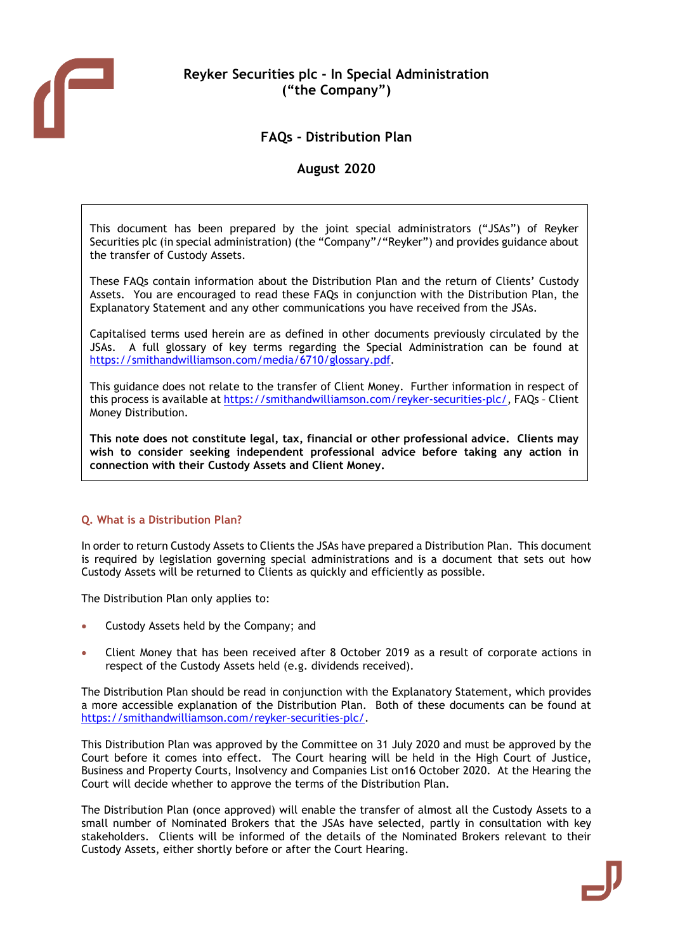

# FAQs - Distribution Plan

# August 2020

This document has been prepared by the joint special administrators ("JSAs") of Reyker Securities plc (in special administration) (the "Company"/"Reyker") and provides guidance about the transfer of Custody Assets.

These FAQs contain information about the Distribution Plan and the return of Clients' Custody Assets. You are encouraged to read these FAQs in conjunction with the Distribution Plan, the Explanatory Statement and any other communications you have received from the JSAs.

Capitalised terms used herein are as defined in other documents previously circulated by the JSAs. A full glossary of key terms regarding the Special Administration can be found at https://smithandwilliamson.com/media/6710/glossary.pdf.

This guidance does not relate to the transfer of Client Money. Further information in respect of this process is available at https://smithandwilliamson.com/reyker-securities-plc/, FAQs – Client Money Distribution.

This note does not constitute legal, tax, financial or other professional advice. Clients may wish to consider seeking independent professional advice before taking any action in connection with their Custody Assets and Client Money.

# Q. What is a Distribution Plan?

In order to return Custody Assets to Clients the JSAs have prepared a Distribution Plan. This document is required by legislation governing special administrations and is a document that sets out how Custody Assets will be returned to Clients as quickly and efficiently as possible.

The Distribution Plan only applies to:

- Custody Assets held by the Company; and
- Client Money that has been received after 8 October 2019 as a result of corporate actions in respect of the Custody Assets held (e.g. dividends received).

The Distribution Plan should be read in conjunction with the Explanatory Statement, which provides a more accessible explanation of the Distribution Plan. Both of these documents can be found at https://smithandwilliamson.com/reyker-securities-plc/.

This Distribution Plan was approved by the Committee on 31 July 2020 and must be approved by the Court before it comes into effect. The Court hearing will be held in the High Court of Justice, Business and Property Courts, Insolvency and Companies List on16 October 2020. At the Hearing the Court will decide whether to approve the terms of the Distribution Plan.

The Distribution Plan (once approved) will enable the transfer of almost all the Custody Assets to a small number of Nominated Brokers that the JSAs have selected, partly in consultation with key stakeholders. Clients will be informed of the details of the Nominated Brokers relevant to their Custody Assets, either shortly before or after the Court Hearing.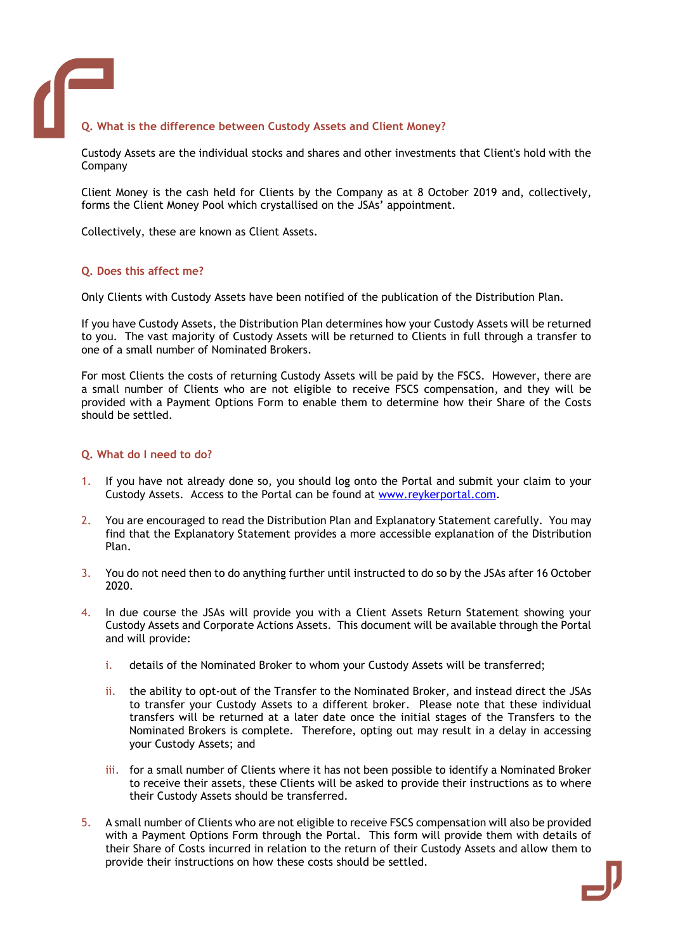# Q. What is the difference between Custody Assets and Client Money?

Custody Assets are the individual stocks and shares and other investments that Client's hold with the Company

Client Money is the cash held for Clients by the Company as at 8 October 2019 and, collectively, forms the Client Money Pool which crystallised on the JSAs' appointment.

Collectively, these are known as Client Assets.

### Q. Does this affect me?

Only Clients with Custody Assets have been notified of the publication of the Distribution Plan.

If you have Custody Assets, the Distribution Plan determines how your Custody Assets will be returned to you. The vast majority of Custody Assets will be returned to Clients in full through a transfer to one of a small number of Nominated Brokers.

For most Clients the costs of returning Custody Assets will be paid by the FSCS. However, there are a small number of Clients who are not eligible to receive FSCS compensation, and they will be provided with a Payment Options Form to enable them to determine how their Share of the Costs should be settled.

#### Q. What do I need to do?

- 1. If you have not already done so, you should log onto the Portal and submit your claim to your Custody Assets. Access to the Portal can be found at www.reykerportal.com.
- 2. You are encouraged to read the Distribution Plan and Explanatory Statement carefully. You may find that the Explanatory Statement provides a more accessible explanation of the Distribution Plan.
- 3. You do not need then to do anything further until instructed to do so by the JSAs after 16 October 2020.
- 4. In due course the JSAs will provide you with a Client Assets Return Statement showing your Custody Assets and Corporate Actions Assets. This document will be available through the Portal and will provide:
	- i. details of the Nominated Broker to whom your Custody Assets will be transferred;
	- ii. the ability to opt-out of the Transfer to the Nominated Broker, and instead direct the JSAs to transfer your Custody Assets to a different broker. Please note that these individual transfers will be returned at a later date once the initial stages of the Transfers to the Nominated Brokers is complete. Therefore, opting out may result in a delay in accessing your Custody Assets; and
	- iii. for a small number of Clients where it has not been possible to identify a Nominated Broker to receive their assets, these Clients will be asked to provide their instructions as to where their Custody Assets should be transferred.
- 5. A small number of Clients who are not eligible to receive FSCS compensation will also be provided with a Payment Options Form through the Portal. This form will provide them with details of their Share of Costs incurred in relation to the return of their Custody Assets and allow them to provide their instructions on how these costs should be settled.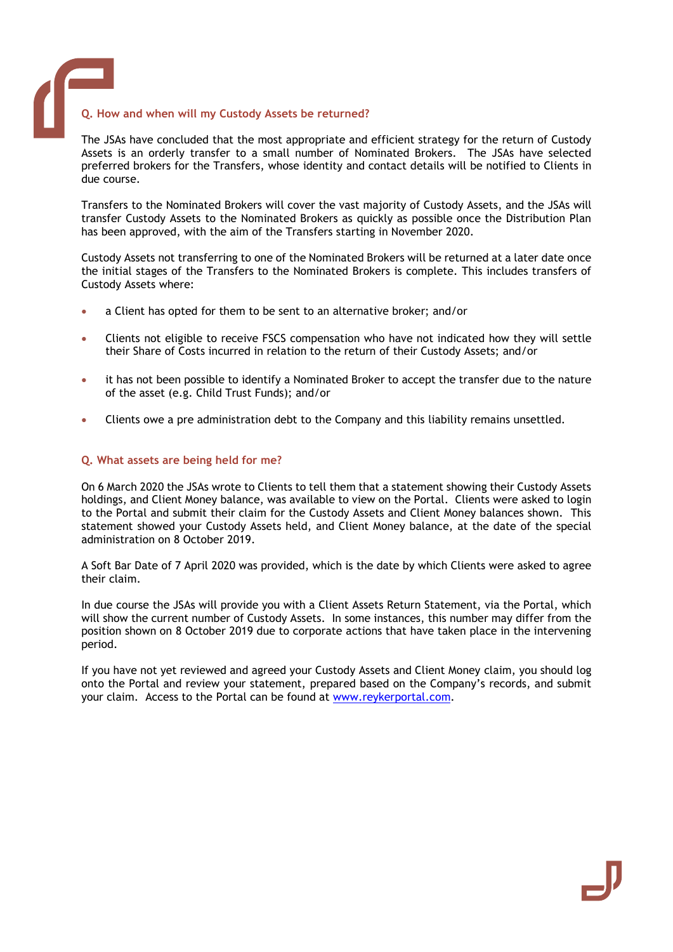

#### Q. How and when will my Custody Assets be returned?

The JSAs have concluded that the most appropriate and efficient strategy for the return of Custody Assets is an orderly transfer to a small number of Nominated Brokers. The JSAs have selected preferred brokers for the Transfers, whose identity and contact details will be notified to Clients in due course.

Transfers to the Nominated Brokers will cover the vast majority of Custody Assets, and the JSAs will transfer Custody Assets to the Nominated Brokers as quickly as possible once the Distribution Plan has been approved, with the aim of the Transfers starting in November 2020.

Custody Assets not transferring to one of the Nominated Brokers will be returned at a later date once the initial stages of the Transfers to the Nominated Brokers is complete. This includes transfers of Custody Assets where:

- a Client has opted for them to be sent to an alternative broker; and/or
- Clients not eligible to receive FSCS compensation who have not indicated how they will settle their Share of Costs incurred in relation to the return of their Custody Assets; and/or
- it has not been possible to identify a Nominated Broker to accept the transfer due to the nature of the asset (e.g. Child Trust Funds); and/or
- Clients owe a pre administration debt to the Company and this liability remains unsettled.

#### Q. What assets are being held for me?

On 6 March 2020 the JSAs wrote to Clients to tell them that a statement showing their Custody Assets holdings, and Client Money balance, was available to view on the Portal. Clients were asked to login to the Portal and submit their claim for the Custody Assets and Client Money balances shown. This statement showed your Custody Assets held, and Client Money balance, at the date of the special administration on 8 October 2019.

A Soft Bar Date of 7 April 2020 was provided, which is the date by which Clients were asked to agree their claim.

In due course the JSAs will provide you with a Client Assets Return Statement, via the Portal, which will show the current number of Custody Assets. In some instances, this number may differ from the position shown on 8 October 2019 due to corporate actions that have taken place in the intervening period.

If you have not yet reviewed and agreed your Custody Assets and Client Money claim, you should log onto the Portal and review your statement, prepared based on the Company's records, and submit your claim. Access to the Portal can be found at www.reykerportal.com.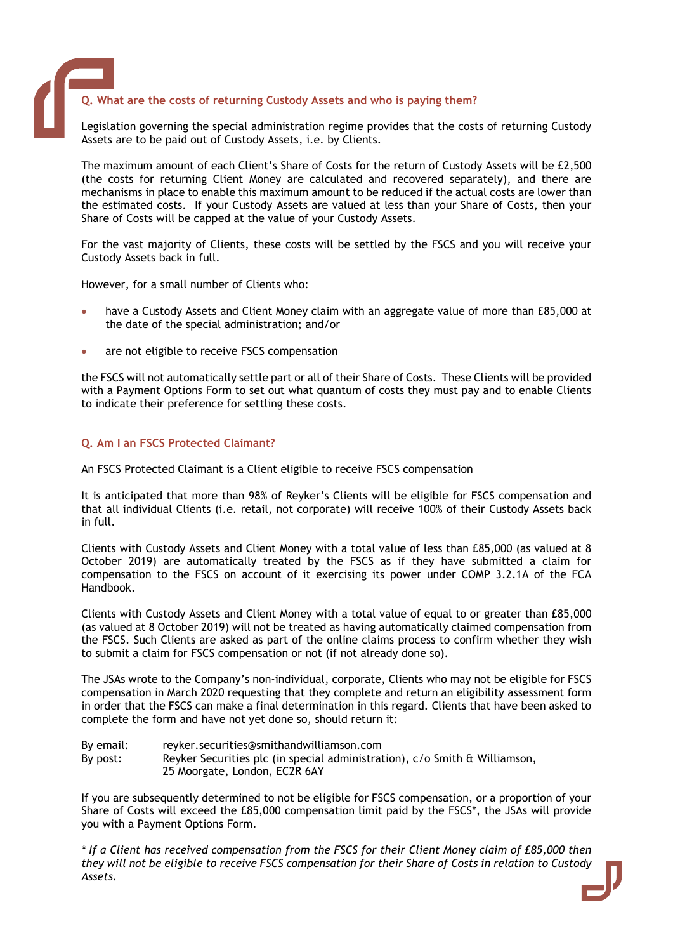#### Q. What are the costs of returning Custody Assets and who is paying them?

Legislation governing the special administration regime provides that the costs of returning Custody Assets are to be paid out of Custody Assets, i.e. by Clients.

The maximum amount of each Client's Share of Costs for the return of Custody Assets will be £2,500 (the costs for returning Client Money are calculated and recovered separately), and there are mechanisms in place to enable this maximum amount to be reduced if the actual costs are lower than the estimated costs. If your Custody Assets are valued at less than your Share of Costs, then your Share of Costs will be capped at the value of your Custody Assets.

For the vast majority of Clients, these costs will be settled by the FSCS and you will receive your Custody Assets back in full.

However, for a small number of Clients who:

- have a Custody Assets and Client Money claim with an aggregate value of more than £85,000 at the date of the special administration; and/or
- are not eligible to receive FSCS compensation

the FSCS will not automatically settle part or all of their Share of Costs. These Clients will be provided with a Payment Options Form to set out what quantum of costs they must pay and to enable Clients to indicate their preference for settling these costs.

#### Q. Am I an FSCS Protected Claimant?

An FSCS Protected Claimant is a Client eligible to receive FSCS compensation

It is anticipated that more than 98% of Reyker's Clients will be eligible for FSCS compensation and that all individual Clients (i.e. retail, not corporate) will receive 100% of their Custody Assets back in full.

Clients with Custody Assets and Client Money with a total value of less than £85,000 (as valued at 8 October 2019) are automatically treated by the FSCS as if they have submitted a claim for compensation to the FSCS on account of it exercising its power under COMP 3.2.1A of the FCA Handbook.

Clients with Custody Assets and Client Money with a total value of equal to or greater than £85,000 (as valued at 8 October 2019) will not be treated as having automatically claimed compensation from the FSCS. Such Clients are asked as part of the online claims process to confirm whether they wish to submit a claim for FSCS compensation or not (if not already done so).

The JSAs wrote to the Company's non-individual, corporate, Clients who may not be eligible for FSCS compensation in March 2020 requesting that they complete and return an eligibility assessment form in order that the FSCS can make a final determination in this regard. Clients that have been asked to complete the form and have not yet done so, should return it:

By email: reyker.securities@smithandwilliamson.com By post: Reyker Securities plc (in special administration), c/o Smith & Williamson, 25 Moorgate, London, EC2R 6AY

If you are subsequently determined to not be eligible for FSCS compensation, or a proportion of your Share of Costs will exceed the £85,000 compensation limit paid by the FSCS\*, the JSAs will provide you with a Payment Options Form.

\* If a Client has received compensation from the FSCS for their Client Money claim of £85,000 then they will not be eligible to receive FSCS compensation for their Share of Costs in relation to Custody Assets.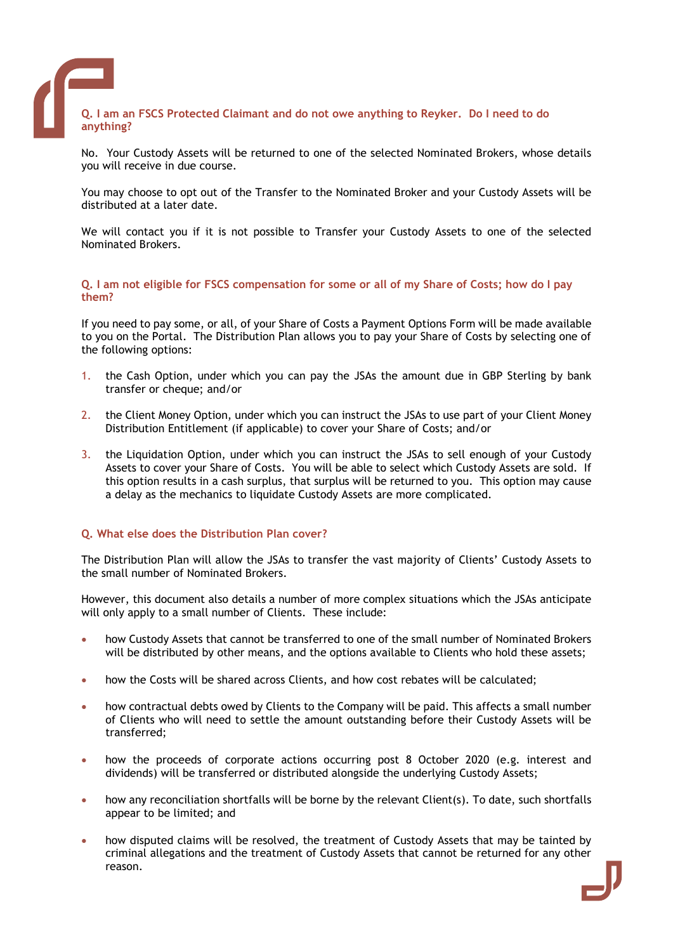

No. Your Custody Assets will be returned to one of the selected Nominated Brokers, whose details you will receive in due course.

You may choose to opt out of the Transfer to the Nominated Broker and your Custody Assets will be distributed at a later date.

We will contact you if it is not possible to Transfer your Custody Assets to one of the selected Nominated Brokers.

Q. I am not eligible for FSCS compensation for some or all of my Share of Costs; how do I pay them?

If you need to pay some, or all, of your Share of Costs a Payment Options Form will be made available to you on the Portal. The Distribution Plan allows you to pay your Share of Costs by selecting one of the following options:

- 1. the Cash Option, under which you can pay the JSAs the amount due in GBP Sterling by bank transfer or cheque; and/or
- 2. the Client Money Option, under which you can instruct the JSAs to use part of your Client Money Distribution Entitlement (if applicable) to cover your Share of Costs; and/or
- 3. the Liquidation Option, under which you can instruct the JSAs to sell enough of your Custody Assets to cover your Share of Costs. You will be able to select which Custody Assets are sold. If this option results in a cash surplus, that surplus will be returned to you. This option may cause a delay as the mechanics to liquidate Custody Assets are more complicated.

#### Q. What else does the Distribution Plan cover?

The Distribution Plan will allow the JSAs to transfer the vast majority of Clients' Custody Assets to the small number of Nominated Brokers.

However, this document also details a number of more complex situations which the JSAs anticipate will only apply to a small number of Clients. These include:

- how Custody Assets that cannot be transferred to one of the small number of Nominated Brokers will be distributed by other means, and the options available to Clients who hold these assets;
- how the Costs will be shared across Clients, and how cost rebates will be calculated;
- how contractual debts owed by Clients to the Company will be paid. This affects a small number of Clients who will need to settle the amount outstanding before their Custody Assets will be transferred;
- how the proceeds of corporate actions occurring post 8 October 2020 (e.g. interest and dividends) will be transferred or distributed alongside the underlying Custody Assets;
- how any reconciliation shortfalls will be borne by the relevant Client(s). To date, such shortfalls appear to be limited; and
- how disputed claims will be resolved, the treatment of Custody Assets that may be tainted by criminal allegations and the treatment of Custody Assets that cannot be returned for any other reason.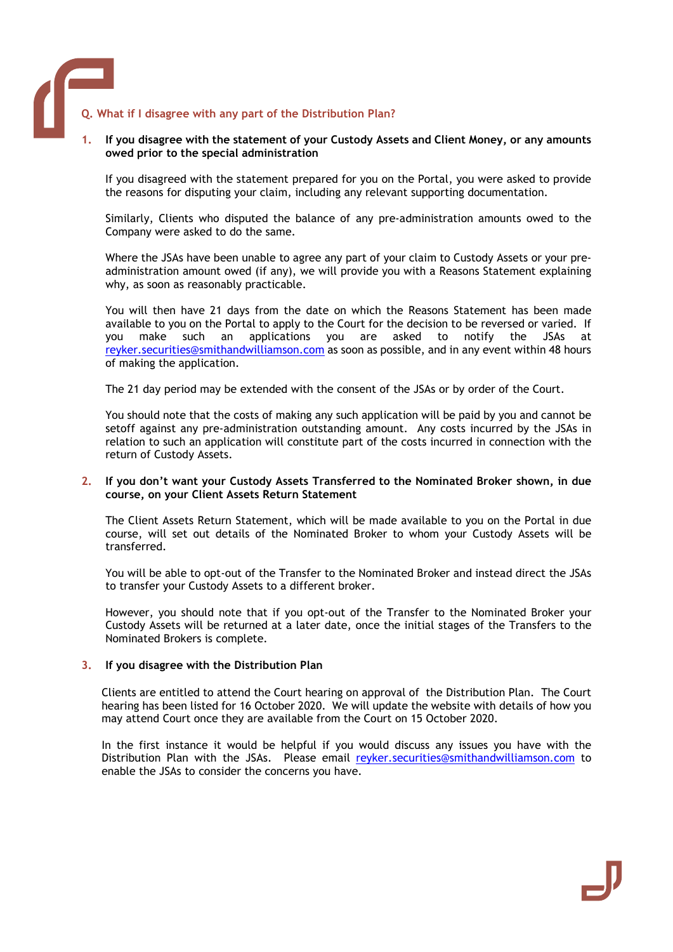## Q. What if I disagree with any part of the Distribution Plan?

#### If you disagree with the statement of your Custody Assets and Client Money, or any amounts owed prior to the special administration

If you disagreed with the statement prepared for you on the Portal, you were asked to provide the reasons for disputing your claim, including any relevant supporting documentation.

Similarly, Clients who disputed the balance of any pre-administration amounts owed to the Company were asked to do the same.

Where the JSAs have been unable to agree any part of your claim to Custody Assets or your preadministration amount owed (if any), we will provide you with a Reasons Statement explaining why, as soon as reasonably practicable.

You will then have 21 days from the date on which the Reasons Statement has been made available to you on the Portal to apply to the Court for the decision to be reversed or varied. If<br>vou make such an applications you are asked to notify the JSAs at you make such an applications you are asked to notify the JSAs at reyker.securities@smithandwilliamson.com as soon as possible, and in any event within 48 hours of making the application.

The 21 day period may be extended with the consent of the JSAs or by order of the Court.

You should note that the costs of making any such application will be paid by you and cannot be setoff against any pre-administration outstanding amount. Any costs incurred by the JSAs in relation to such an application will constitute part of the costs incurred in connection with the return of Custody Assets.

#### 2. If you don't want your Custody Assets Transferred to the Nominated Broker shown, in due course, on your Client Assets Return Statement

The Client Assets Return Statement, which will be made available to you on the Portal in due course, will set out details of the Nominated Broker to whom your Custody Assets will be transferred.

You will be able to opt-out of the Transfer to the Nominated Broker and instead direct the JSAs to transfer your Custody Assets to a different broker.

However, you should note that if you opt-out of the Transfer to the Nominated Broker your Custody Assets will be returned at a later date, once the initial stages of the Transfers to the Nominated Brokers is complete.

### 3. If you disagree with the Distribution Plan

Clients are entitled to attend the Court hearing on approval of the Distribution Plan. The Court hearing has been listed for 16 October 2020. We will update the website with details of how you may attend Court once they are available from the Court on 15 October 2020.

In the first instance it would be helpful if you would discuss any issues you have with the Distribution Plan with the JSAs. Please email reyker.securities@smithandwilliamson.com to enable the JSAs to consider the concerns you have.